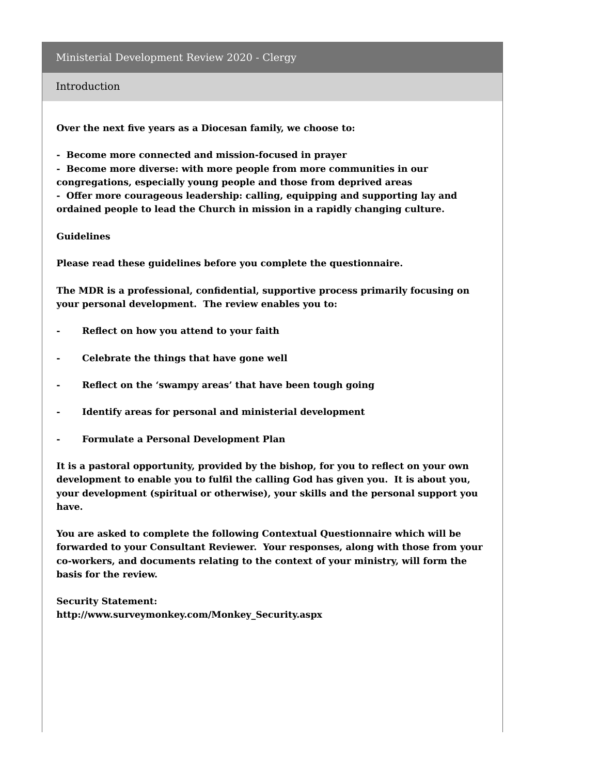#### Introduction

**Over the next five years as a Diocesan family, we choose to:**

**- Become more connected and mission-focused in prayer**

**- Become more diverse: with more people from more communities in our congregations, especially young people and those from deprived areas - Offer more courageous leadership: calling, equipping and supporting lay and ordained people to lead the Church in mission in a rapidly changing culture.**

#### **Guidelines**

**Please read these guidelines before you complete the questionnaire.**

**The MDR is a professional, confidential, supportive process primarily focusing on your personal development. The review enables you to:**

- **- Reflect on how you attend to your faith**
- **- Celebrate the things that have gone well**
- **- Reflect on the 'swampy areas' that have been tough going**
- **- Identify areas for personal and ministerial development**
- **- Formulate a Personal Development Plan**

**It is a pastoral opportunity, provided by the bishop, for you to reflect on your own development to enable you to fulfil the calling God has given you. It is about you, your development (spiritual or otherwise), your skills and the personal support you have.**

**You are asked to complete the following Contextual Questionnaire which will be forwarded to your Consultant Reviewer. Your responses, along with those from your co-workers, and documents relating to the context of your ministry, will form the basis for the review.**

**Security Statement: http://www.surveymonkey.com/Monkey\_Security.aspx**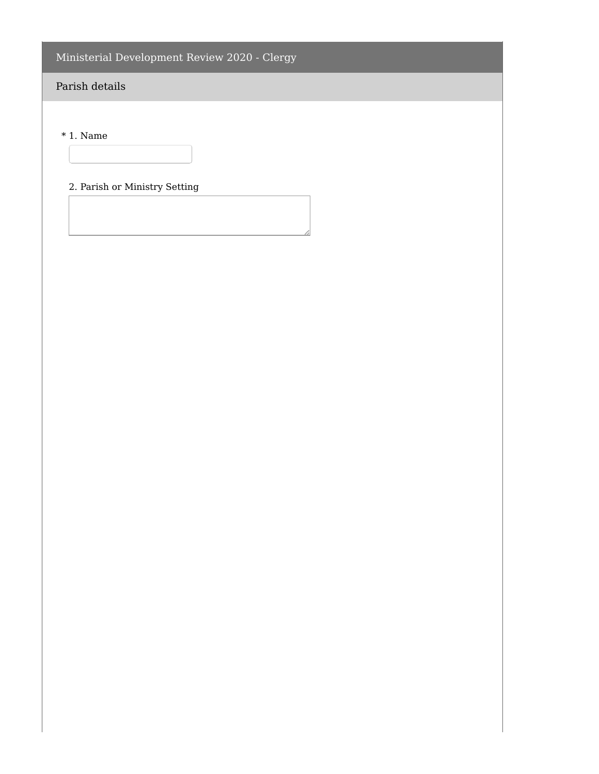# Parish details

\* 1. Name

## 2. Parish or Ministry Setting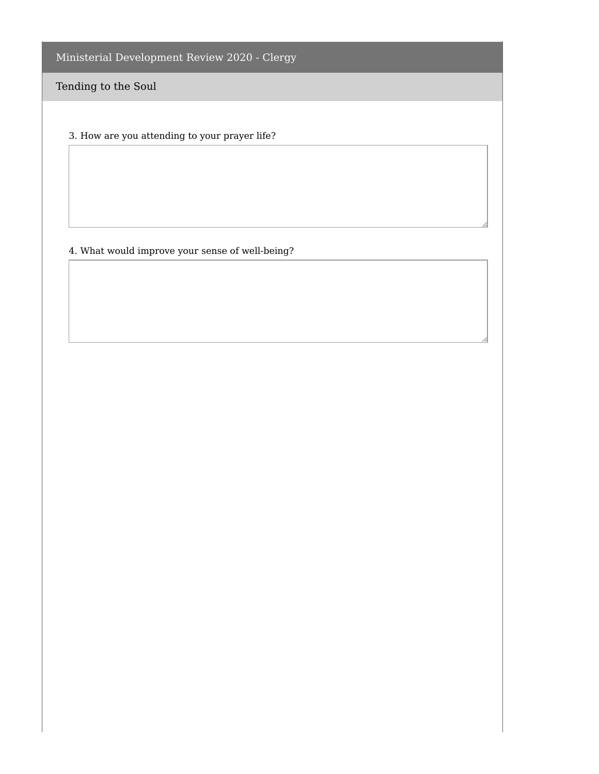Tending to the Soul

3. How are you attending to your prayer life?

### 4. What would improve your sense of well-being?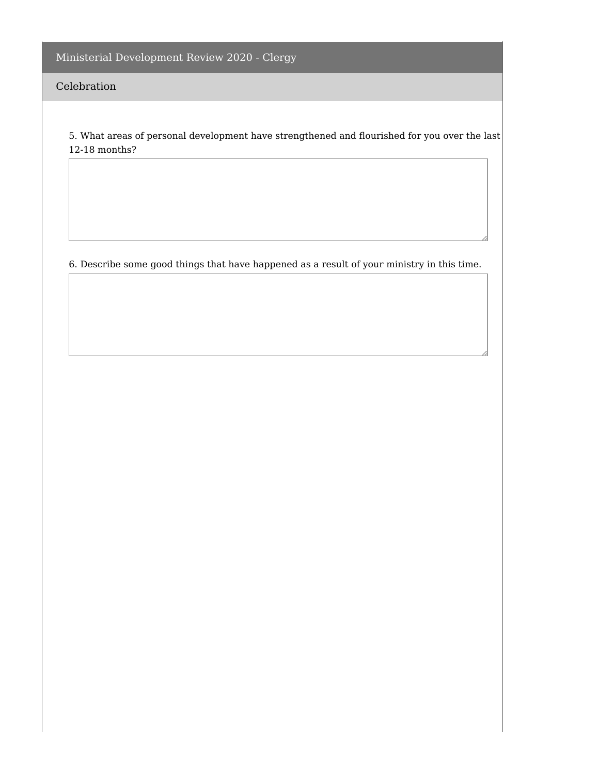### Celebration

5. What areas of personal development have strengthened and flourished for you over the last 12-18 months?

6. Describe some good things that have happened as a result of your ministry in this time.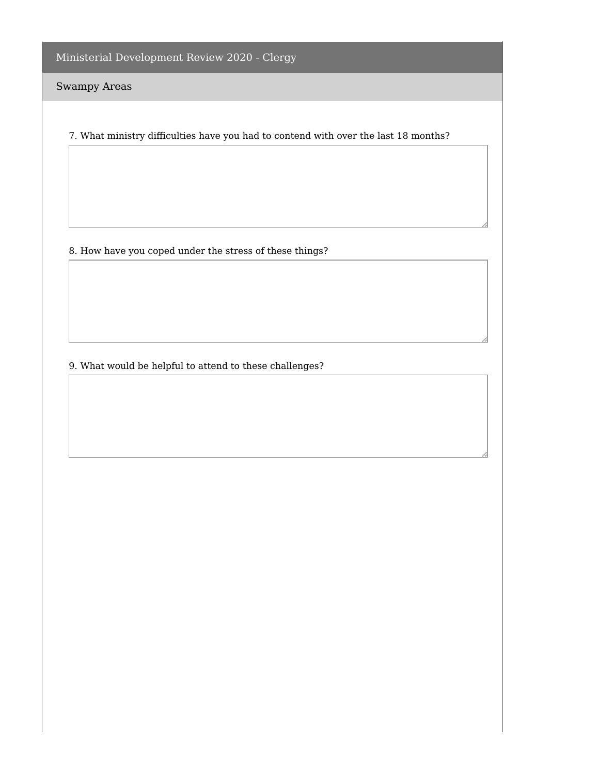Swampy Areas

7. What ministry difficulties have you had to contend with over the last 18 months?

8. How have you coped under the stress of these things?

9. What would be helpful to attend to these challenges?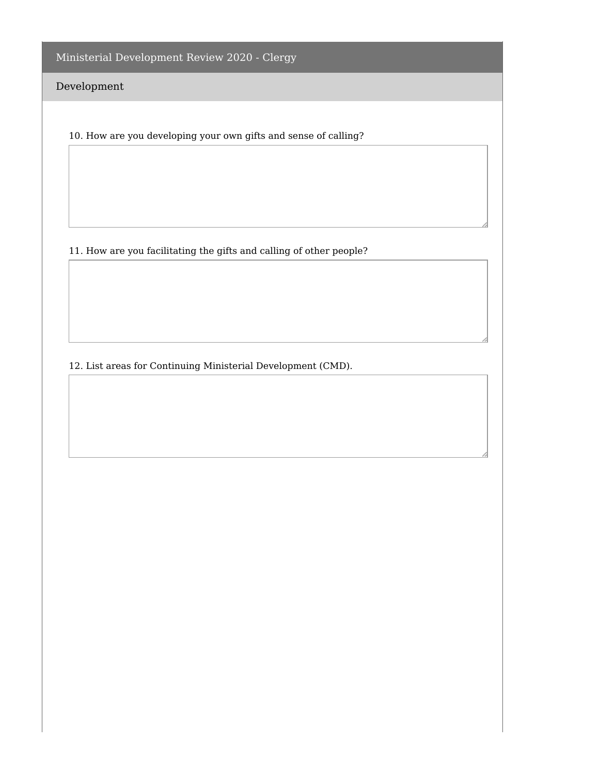Development

10. How are you developing your own gifts and sense of calling?

11. How are you facilitating the gifts and calling of other people?

12. List areas for Continuing Ministerial Development (CMD).